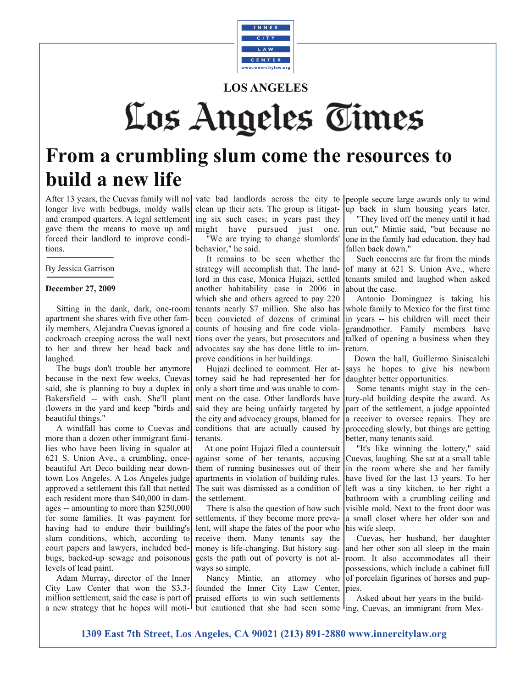

## **LOS ANGELES**

# Los Angeles Times

# **From a crumbling slum come the resources to build a new life**

After 13 years, the Cuevas family will no longer live with bedbugs, moldy walls and cramped quarters. A legal settlement gave them the means to move up and forced their landlord to improve conditions.

By Jessica Garrison

#### **December 27, 2009**

 Sitting in the dank, dark, one-room apartment she shares with five other family members, Alejandra Cuevas ignored a cockroach creeping across the wall next to her and threw her head back and laughed.

 The bugs don't trouble her anymore because in the next few weeks, Cuevas said, she is planning to buy a duplex in Bakersfield -- with cash. She'll plant flowers in the yard and keep "birds and beautiful things."

 A windfall has come to Cuevas and more than a dozen other immigrant families who have been living in squalor at 621 S. Union Ave., a crumbling, oncebeautiful Art Deco building near downtown Los Angeles. A Los Angeles judge approved a settlement this fall that netted each resident more than \$40,000 in damages -- amounting to more than \$250,000 for some families. It was payment for having had to endure their building's slum conditions, which, according to court papers and lawyers, included bedbugs, backed-up sewage and poisonous levels of lead paint.

 Adam Murray, director of the Inner City Law Center that won the \$3.3 million settlement, said the case is part of praised efforts to win such settlements a new strategy that he hopes will moti-l but cautioned that she had seen some ling, Cuevas, an immigrant from Mex-

clean up their acts. The group is litigating six such cases; in years past they might have pursued just one. "We are trying to change slumlords' behavior," he said.

 It remains to be seen whether the strategy will accomplish that. The landlord in this case, Monica Hujazi, settled another habitability case in 2006 in which she and others agreed to pay 220 tenants nearly \$7 million. She also has been convicted of dozens of criminal counts of [housing and fire code viola](http://articles.latimes.com/2009/jun/05/local/me-landlord5)[tions](http://articles.latimes.com/2009/jun/05/local/me-landlord5) over the years, but prosecutors and advocates say she has done little to improve conditions in her buildings.

 Hujazi declined to comment. Her attorney said he had represented her for only a short time and was unable to comment on the case. Other landlords have said they are being unfairly targeted by the city and advocacy groups, blamed for conditions that are actually caused by tenants.

 At one point Hujazi filed a countersuit against some of her tenants, accusing them of running businesses out of their apartments in violation of building rules. The suit was dismissed as a condition of the settlement.

 There is also the question of how such settlements, if they become more prevalent, will shape the fates of the poor who receive them. Many tenants say the money is life-changing. But history suggests the path out of poverty is not always so simple.

 Nancy Mintie, an attorney who founded the Inner City Law Center,

vate bad landlords across the city to people secure large awards only to wind up back in slum housing years later.

> "They lived off the money until it had run out," Mintie said, "but because no one in the family had education, they had fallen back down."

> Such concerns are far from the minds of many at 621 S. Union Ave., where tenants smiled and laughed when asked about the case.

> Antonio Dominguez is taking his whole family to Mexico for the first time in years -- his children will meet their grandmother. Family members have talked of opening a business when they return.

> Down the hall, Guillermo Siniscalchi says he hopes to give his newborn daughter better opportunities.

> Some tenants might stay in the century-old building despite the award. As part of the settlement, a judge appointed a receiver to oversee repairs. They are proceeding slowly, but things are getting better, many tenants said.

> "It's like winning the lottery," said Cuevas, laughing. She sat at a small table in the room where she and her family have lived for the last 13 years. To her left was a tiny kitchen, to her right a bathroom with a crumbling ceiling and visible mold. Next to the front door was a small closet where her older son and his wife sleep.

> Cuevas, her husband, her daughter and her other son all sleep in the main room. It also accommodates all their possessions, which include a cabinet full of porcelain figurines of horses and puppies.

Asked about her years in the build-

**1309 East 7th Street, Los Angeles, CA 90021 (213) 891-2880 www.innercitylaw.org**